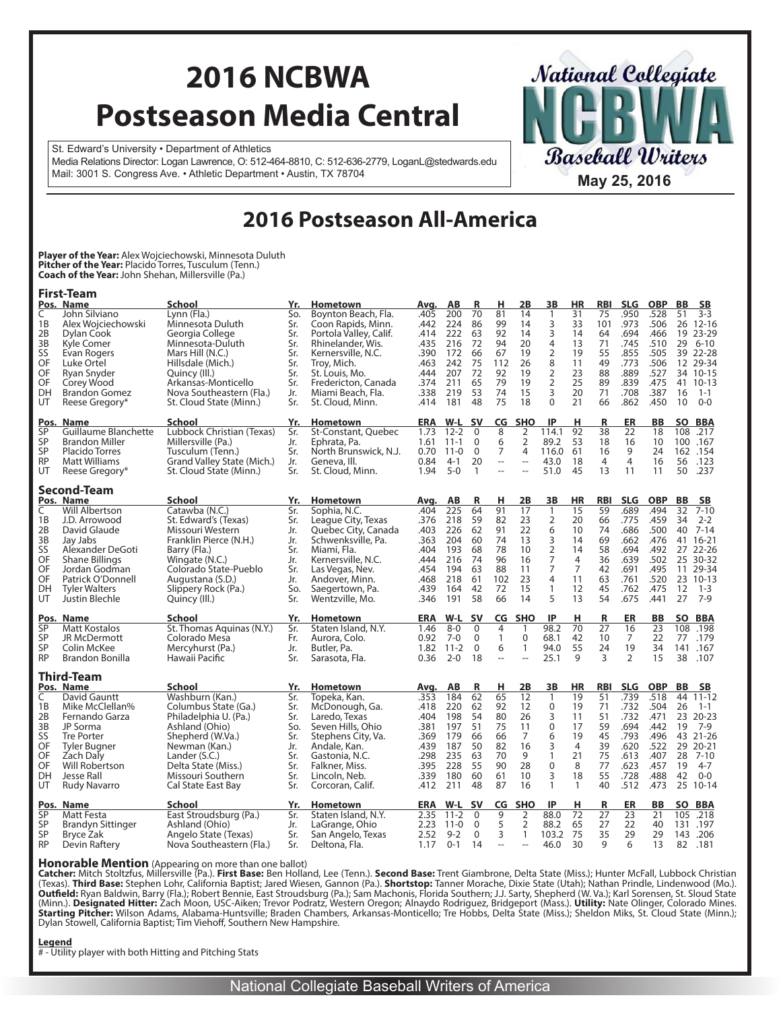# **2016 NCBWA Postseason Media Central**

**Baseball Writers** 

**National Collegiate** 

St. Edward's University • Department of Athletics Media Relations Director: Logan Lawrence, O: 512-464-8810, C: 512-636-2779, LoganL@stedwards.edu Mail: 3001 S. Congress Ave. • Athletic Department • Austin, TX 78704 **May 25, 2016** 

### **2016 Postseason All-America**

**Player of the Year:** Alex Wojciechowski, Minnesota Duluth **Pitcher of the Year:** Placido Torres, Tusculum (Tenn.) **Coach of the Year:** John Shehan, Millersville (Pa.)

|             | <b>First-Team</b>                                    |                                                 |            |                                       |              |                      |                         |                |                                |                          |                     |                  |                    |                    |                   |                      |
|-------------|------------------------------------------------------|-------------------------------------------------|------------|---------------------------------------|--------------|----------------------|-------------------------|----------------|--------------------------------|--------------------------|---------------------|------------------|--------------------|--------------------|-------------------|----------------------|
| C           | Pos. Name<br>John Silviano                           | <b>School</b><br>Lynn (Fla.)                    | Yr.<br>So. | Hometown<br>Boynton Beach, Fla.       | Avg.<br>.405 | AВ<br>200            | R<br>70                 | н<br>81        | 2Β<br>14                       | 3В<br>$\mathbf{1}$       | HR<br>31            | <b>RBI</b><br>75 | <b>SLG</b><br>.950 | <b>OBP</b><br>.528 | <b>BB</b><br>51   | <b>SB</b><br>$3 - 3$ |
| 1B          | Alex Wojciechowski                                   | Minnesota Duluth                                | Sr.        | Coon Rapids, Minn.                    | .442         | 224                  | 86                      | 99             | 14                             | 3                        | 33                  | 101              | .973               | .506               | 26                | $12 - 16$            |
| 2B          | Dylan Cook                                           | Georgia College                                 | Sr.        | Portola Valley, Calif.                | .414         | 222                  | 63                      | 92             | 14                             | 3                        | 14                  | 64               | .694               | .466               | 19                | $23 - 29$            |
| 3B          | Kyle Comer                                           | Minnesota-Duluth                                | Sr.        | Rhinelander, Wis.                     | .435         | 216                  | 72                      | 94             | 20                             | $\overline{\mathcal{A}}$ | 13                  | 71               | .745               | .510               | 29                | $6 - 10$             |
| SS          | Evan Rogers                                          | Mars Hill (N.C.)                                | Sr.        | Kernersville, N.C.                    | .390         | 172                  | 66                      | 67             | 19                             | $\overline{2}$           | 19                  | 55               | .855               | .505               | 39                | $22 - 28$            |
| OF          | Luke Ortel                                           | Hillsdale (Mich.)                               | Sr.        | Troy, Mich.                           | .463         | 242                  | 75                      | 112            | 26                             | 8                        | 11                  | 49               | .773               | .506               | $12 \overline{ }$ | 29-34                |
| OF          | Ryan Snyder                                          | Quincy (III.)                                   | Sr.        | St. Louis, Mo.                        | .444         | 207                  | 72                      | 92             | 19                             | $\frac{2}{2}$            | 23                  | 88               | .889               | .527               | 34                | $10 - 15$            |
| OF          | Corey Wood                                           | Arkansas-Monticello                             | Sr.        | Fredericton, Canada                   | .374         | 211                  | 65                      | 79             | 19                             |                          | 25                  | 89               | .839               | .475               |                   | 41 10-13             |
| DH          | <b>Brandon Gomez</b>                                 | Nova Southeastern (Fla.)                        | Jr.        | Miami Beach, Fla.                     | .338         | 219                  | 53                      | 74             | 15                             | 3                        | 20                  | 71               | .708               | .387               | 16                | $1 - 1$              |
| UT          | Reese Gregory*                                       | St. Cloud State (Minn.)                         | Sr.        | St. Cloud, Minn.                      | .414         | 181                  | 48                      | 75             | 18                             | $\Omega$                 | 21                  | 66               | .862               | .450               | 10                | $O - O$              |
| Pos.        | <b>Name</b>                                          | School                                          | Yr.        | <b>Hometown</b>                       | <b>ERA</b>   | W-L                  | .sv                     | CG             | <b>SHO</b>                     | IP                       | н                   | R                | ER                 | BB                 | <b>SO</b>         | <b>BBA</b>           |
| SP<br>SP    | <b>Guillaume Blanchette</b><br><b>Brandon Miller</b> | Lubbock Christian (Texas)<br>Millersville (Pa.) | Sr.<br>Jr. | St-Constant, Quebec<br>Ephrata, Pa.   | 1.73<br>1.61 | $12 - 2$<br>$11 - 1$ | $\mathbf 0$<br>$\Omega$ | 8<br>6         | 2<br>$\overline{2}$            | 114.1<br>89.2            | 92<br>53            | 38<br>18         | 22<br>16           | 18<br>10           | 108               | .217<br>100 .167     |
| SP          | <b>Placido Torres</b>                                | Tusculum (Tenn.)                                | Sr.        | North Brunswick, N.J.                 | 0.70         | $11 - 0$             | 0                       | 7              | 4                              | 116.0                    | 61                  | 16               | 9                  | 24                 |                   | 162.154              |
| <b>RP</b>   | <b>Matt Williams</b>                                 | Grand Valley State (Mich.)                      | Jr.        | Geneva, III.                          | 0.84         | $4-1$                | 20                      | $\overline{a}$ | $\overline{\phantom{a}}$       | 43.0                     | 18                  | $\overline{4}$   | $\overline{4}$     | 16                 | 56                | .123                 |
| UT          | Reese Gregory*                                       | St. Cloud State (Minn.)                         | Sr.        | St. Cloud, Minn.                      | 1.94         | $5 - 0$              | $\mathbf{1}$            | $\overline{a}$ | $\overline{a}$                 | 51.0                     | 45                  | 13               | 11                 | 11                 | 50                | .237                 |
|             |                                                      |                                                 |            |                                       |              |                      |                         |                |                                |                          |                     |                  |                    |                    |                   |                      |
|             | <b>Second-Team</b><br>Pos. Name                      | <b>School</b>                                   | Yr.        | <b>Hometown</b>                       | Avq.         | AВ                   | R                       | н              | 2B                             | 3B                       | <b>HR</b>           | <b>RBI</b>       | <b>SLG</b>         | <b>OBP</b>         | BB                | SΒ                   |
| C           | Will Albertson                                       | Catawba (N.C.)                                  | Sr.        | Sophia, N.C.                          | .404         | 225                  | 64                      | 91             | 17                             | $\mathbf{1}$             | 15                  | 59               | .689               | .494               | 32                | $7 - 10$             |
| 1B          | J.D. Arrowood                                        | St. Edward's (Texas)                            | Sr.        | League City, Texas                    | .376         | 218                  | 59                      | 82             | 23                             | 2                        | 20                  | 66               | .775               | .459               | 34                | $2 - 2$              |
| 2B          | David Glaude                                         | Missouri Western                                | Jr.        | Quebec City, Canada                   | .403         | 226                  | 62                      | 91             | 22                             | 6                        | 10                  | 74               | .686               | .500               | 40                | $7 - 14$             |
| 3B          | Jay Jabs                                             | Franklin Pierce (N.H.)                          | Jr.        | Schwenksville, Pa.                    | .363         | 204                  | 60                      | 74             | 13                             | 3                        | 14                  | 69               | .662               | .476               | 41                | $16 - 21$            |
| SS          | Alexander DeGoti                                     | Barry (Fla.)                                    | Sr.        | Miami, Fla.                           | .404         | 193                  | 68                      | 78             | 10                             | $\frac{2}{7}$            | 14                  | 58               | .694               | .492               | 27                | $22 - 26$            |
| OF<br>OF    | <b>Shane Billings</b><br>Jordan Godman               | Wingate (N.C.)<br>Colorado State-Pueblo         | Jr.<br>Sr. | Kernersville, N.C.<br>Las Vegas, Nev. | .444<br>.454 | 216<br>194           | 74<br>63                | 96<br>88       | 16<br>11                       | $\overline{7}$           | 4<br>$\overline{7}$ | 36<br>42         | .639<br>.691       | .502<br>.495       | 25<br>11          | 30-32<br>29-34       |
| OF          | Patrick O'Donnell                                    | Augustana (S.D.)                                | Jr.        | Andover, Minn.                        | .468         | 218                  | 61                      | 102            | 23                             | $\overline{4}$           | 11                  | 63               | .761               | .520               |                   | 23 10-13             |
| DH          | <b>Tyler Walters</b>                                 | Slippery Rock (Pa.)                             | So.        | Saegertown, Pa.                       | .439         | 164                  | 42                      | 72             | 15                             | $\mathbf{1}$             | 12                  | 45               | .762               | .475               | 12                | $1 - 3$              |
| UT          | Justin Blechle                                       | Quincy (III.)                                   | Sr.        | Wentzville, Mo.                       | .346         | 191                  | 58                      | 66             | 14                             | 5                        | 13                  | 54               | .675               | .441               | 27                | $7-9$                |
| <u>Pos.</u> | <b>Name</b>                                          | School                                          | Yr.        | Hometown                              | <b>ERA</b>   | $W-L$                | <b>SV</b>               | CG             | <b>SHO</b>                     | IP                       | н                   | R                | ER                 | BB                 | <b>SO</b>         | <b>BBA</b>           |
| SP          | Matt Kostalos                                        | St. Thomas Aquinas (N.Y.)                       | Sr.        | Staten Island, N.Y.                   | 1.46         | $8 - 0$              | 0                       | 4              | 1                              | 98.2                     | 70                  | 27               | 16                 | 23                 | 108               | .198                 |
| SP          | JR McDermott                                         | Colorado Mesa                                   | Fr.        | Aurora, Colo.                         | 0.92         | $7-0$                | $\Omega$                | $\mathbf{1}$   | $\Omega$                       | 68.1                     | 42                  | 10               | $\overline{7}$     | 22                 | 77                | .179                 |
| SP          | Colin McKee                                          | Mercyhurst (Pa.)                                | Jr.        | Butler, Pa.                           | 1.82         | $11 - 2$             | $\Omega$                | 6              | $\mathbf{1}$                   | 94.0                     | 55                  | 24               | 19                 | 34                 | 141               | .167                 |
| <b>RP</b>   | <b>Brandon Bonilla</b>                               | Hawaii Pacific                                  | Sr.        | Sarasota, Fla.                        | 0.36         | $2 - 0$              | 18                      | $\overline{a}$ | $\overline{\phantom{a}}$       | 25.1                     | 9                   | 3                | $\overline{2}$     | 15                 | 38                | .107                 |
|             | Third-Team                                           |                                                 |            |                                       |              |                      |                         |                |                                |                          |                     |                  |                    |                    |                   |                      |
| C           | Pos. Name<br>David Gauntt                            | <b>School</b><br>Washburn (Kan.)                | Yr.<br>Sr. | <b>Hometown</b><br>Topeka, Kan.       | Avg.<br>.353 | AB<br>184            | R<br>62                 | н<br>65        | 2B                             | 3В<br>$\mathbf{1}$       | HR<br>19            | <b>RBI</b><br>51 | <b>SLG</b><br>.739 | <b>OBP</b><br>.518 | BB<br>44          | SΒ<br>$11 - 12$      |
| 1B          | Mike McClellan%                                      | Columbus State (Ga.)                            | Sr.        | McDonough, Ga.                        | .418         | 220                  | 62                      | 92             | 12<br>12                       | $\mathbf 0$              | 19                  | 71               | .732               | .504               | 26                | $1 - 1$              |
| 2B          | Fernando Garza                                       | Philadelphia U. (Pa.)                           | Sr.        | Laredo, Texas                         | .404         | 198                  | 54                      | 80             | 26                             | 3                        | 11                  | 51               | .732               | .471               | 23                | $20 - 23$            |
| 3B          | JP Sorma                                             | Ashland (Ohio)                                  | So.        | Seven Hills, Ohio                     | .381         | 197                  | 51                      | 75             | 11                             | $\mathsf 0$              | 17                  | 59               | .694               | .442               | 19                | $7-9$                |
| SS          | <b>Tre Porter</b>                                    | Shepherd (W.Va.)                                | Sr.        | Stephens City, Va.                    | .369         | 179                  | 66                      | 66             | $\overline{7}$                 | 6                        | 19                  | 45               | .793               | .496               | 43                | $21 - 26$            |
| OF          | Tyler Bugner                                         | Newman (Kan.)                                   | Jr.        | Andale, Kan.                          | .439         | 187                  | 50                      | 82             | 16                             | 3                        | $\overline{4}$      | 39               | .620               | .522               | 29                | $20 - 21$            |
| OF          | Zach Daly                                            | Lander (S.C.)                                   | Sr.        | Gastonia, N.C.                        | .298         | 235                  | 63                      | 70             | 9                              | $\mathbf{1}$             | 21                  | 75               | .613               | .407               | 28                | $7 - 10$             |
| OF          | Will Robertson                                       | Delta State (Miss.)                             | Sr.        | Falkner, Miss.                        | .395         | 228                  | 55                      | 90             | 28                             | 0                        | 8                   | 77               | .623               | .457               | 19                | $4 - 7$              |
| DH          | Jesse Rall                                           | Missouri Southern                               | Sr.        | Lincoln, Neb.                         | .339         | 180                  | 60                      | 61             | 10                             | 3                        | 18                  | 55               | .728               | .488               | 42                | $0 - 0$              |
| UT          | <b>Rudy Navarro</b>                                  | Cal State East Bay                              | Sr.        | Corcoran, Calif.                      | .412         | 211                  | 48                      | 87             | 16                             | $\mathbf{1}$             | $\mathbf{1}$        | 40               | .512               | .473               | 25                | $10 - 14$            |
| Pos.        | <b>Name</b>                                          | School                                          | Yr.        | Hometown                              | <b>ERA</b>   | W-L                  | <b>SV</b>               | CG             | <b>SHO</b>                     | IP                       | н                   | R                | ER                 | <b>BB</b>          | <b>SO</b>         | <b>BBA</b>           |
| SP          | Matt Festa                                           | East Stroudsburg (Pa.)                          | Sr.        | Staten Island, N.Y.                   | 2.35         | $11 - 2$             | $\mathbf{0}$            | 9              | $\overline{2}$                 | 88.0                     | 72                  | 27               | 23                 | 21                 | 105               | .218                 |
| SP<br>SP    | Brandyn Sittinger<br>Bryce Zak                       | Ashland (Ohio)<br>Angelo State (Texas)          | Jr.<br>Sr. | LaGrange, Ohio<br>San Angelo, Texas   | 2.23<br>2.52 | $11 - 0$<br>$9 - 2$  | 0<br>$\mathbf 0$        | 5<br>3         | $\overline{2}$<br>$\mathbf{1}$ | 88.2<br>103.2            | 65<br>75            | 27<br>35         | 22<br>29           | 40<br>29           | 131               | .197<br>143 .206     |
| <b>RP</b>   | Devin Raftery                                        | Nova Southeastern (Fla.)                        | Sr.        | Deltona, Fla.                         | 1.17         | $0 - 1$              | 14                      | $\overline{a}$ | $\overline{a}$                 | 46.0                     | 30                  | 9                | 6                  | 13                 | 82                | .181                 |
|             |                                                      |                                                 |            |                                       |              |                      |                         |                |                                |                          |                     |                  |                    |                    |                   |                      |

**Honorable Mention** (Appearing on more than one ballot)<br>Catcher: Mitch Stoltzfus, Millersville (Pa.). **First Base:** Ben Holland, Lee (Tenn.). **Second Base:** Trent Giambrone, Delta State (Miss.); Hunter McFall, Lubbock Chri Dylan Stowell, California Baptist; Tim Viehoff, Southern New Hampshire.

#### **Legend**

# - Utility player with both Hitting and Pitching Stats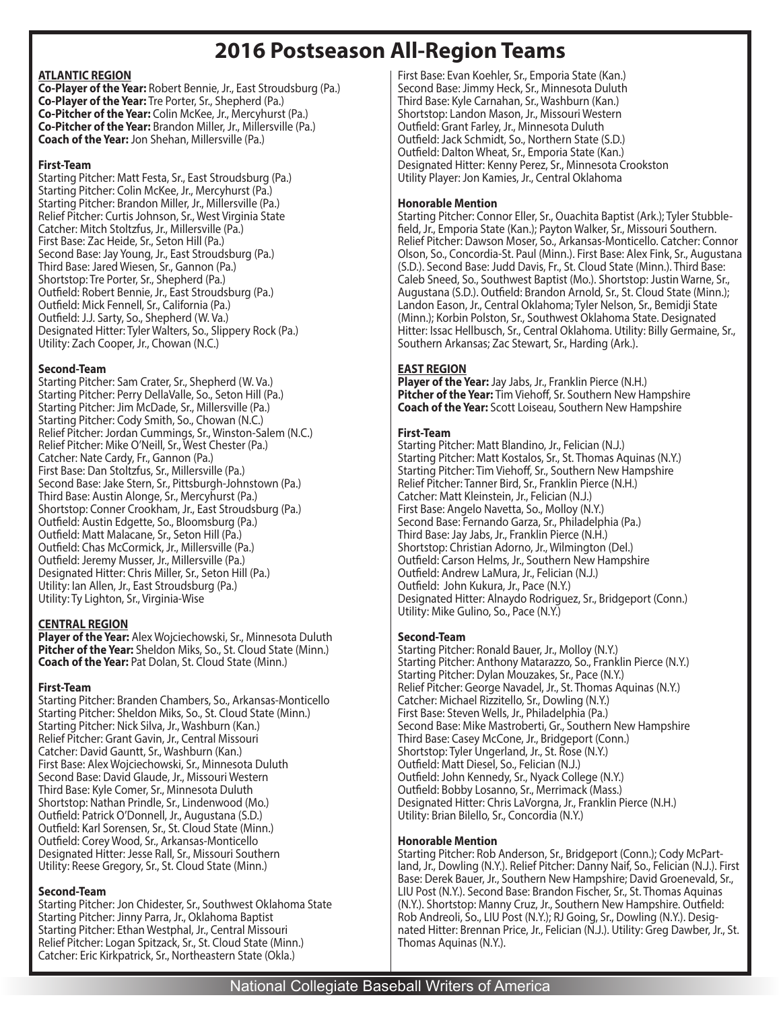## **2016 Postseason All-Region Teams**

#### **ATLANTIC REGION**

**Co-Player of the Year:** Robert Bennie, Jr., East Stroudsburg (Pa.) **Co-Player of the Year:** Tre Porter, Sr., Shepherd (Pa.) **Co-Pitcher of the Year:** Colin McKee, Jr., Mercyhurst (Pa.) **Co-Pitcher of the Year:** Brandon Miller, Jr., Millersville (Pa.) **Coach of the Year:** Jon Shehan, Millersville (Pa.)

#### **First-Team**

Starting Pitcher: Matt Festa, Sr., East Stroudsburg (Pa.) Starting Pitcher: Colin McKee, Jr., Mercyhurst (Pa.) Starting Pitcher: Brandon Miller, Jr., Millersville (Pa.) Relief Pitcher: Curtis Johnson, Sr., West Virginia State Catcher: Mitch Stoltzfus, Jr., Millersville (Pa.) First Base: Zac Heide, Sr., Seton Hill (Pa.) Second Base: Jay Young, Jr., East Stroudsburg (Pa.) Third Base: Jared Wiesen, Sr., Gannon (Pa.) Shortstop: Tre Porter, Sr., Shepherd (Pa.) Outfield: Robert Bennie, Jr., East Stroudsburg (Pa.) Outfield: Mick Fennell, Sr., California (Pa.) Outfield: J.J. Sarty, So., Shepherd (W. Va.) Designated Hitter: Tyler Walters, So., Slippery Rock (Pa.) Utility: Zach Cooper, Jr., Chowan (N.C.)

#### **Second-Team**

Starting Pitcher: Sam Crater, Sr., Shepherd (W. Va.) Starting Pitcher: Perry DellaValle, So., Seton Hill (Pa.) Starting Pitcher: Jim McDade, Sr., Millersville (Pa.) Starting Pitcher: Cody Smith, So., Chowan (N.C.) Relief Pitcher: Jordan Cummings, Sr., Winston-Salem (N.C.) Relief Pitcher: Mike O'Neill, Sr., West Chester (Pa.) Catcher: Nate Cardy, Fr., Gannon (Pa.) First Base: Dan Stoltzfus, Sr., Millersville (Pa.) Second Base: Jake Stern, Sr., Pittsburgh-Johnstown (Pa.) Third Base: Austin Alonge, Sr., Mercyhurst (Pa.) Shortstop: Conner Crookham, Jr., East Stroudsburg (Pa.) Outfield: Austin Edgette, So., Bloomsburg (Pa.) Outfield: Matt Malacane, Sr., Seton Hill (Pa.) Outfield: Chas McCormick, Jr., Millersville (Pa.) Outfield: Jeremy Musser, Jr., Millersville (Pa.) Designated Hitter: Chris Miller, Sr., Seton Hill (Pa.) Utility: Ian Allen, Jr., East Stroudsburg (Pa.) Utility: Ty Lighton, Sr., Virginia-Wise

#### **CENTRAL REGION**

**Player of the Year:** Alex Wojciechowski, Sr., Minnesota Duluth **Pitcher of the Year:** Sheldon Miks, So., St. Cloud State (Minn.) **Coach of the Year:** Pat Dolan, St. Cloud State (Minn.)

#### **First-Team**

Starting Pitcher: Branden Chambers, So., Arkansas-Monticello Starting Pitcher: Sheldon Miks, So., St. Cloud State (Minn.) Starting Pitcher: Nick Silva, Jr., Washburn (Kan.) Relief Pitcher: Grant Gavin, Jr., Central Missouri Catcher: David Gauntt, Sr., Washburn (Kan.) First Base: Alex Wojciechowski, Sr., Minnesota Duluth Second Base: David Glaude, Jr., Missouri Western Third Base: Kyle Comer, Sr., Minnesota Duluth Shortstop: Nathan Prindle, Sr., Lindenwood (Mo.) Outfield: Patrick O'Donnell, Jr., Augustana (S.D.) Outfield: Karl Sorensen, Sr., St. Cloud State (Minn.) Outfield: Corey Wood, Sr., Arkansas-Monticello Designated Hitter: Jesse Rall, Sr., Missouri Southern Utility: Reese Gregory, Sr., St. Cloud State (Minn.)

#### **Second-Team**

Starting Pitcher: Jon Chidester, Sr., Southwest Oklahoma State Starting Pitcher: Jinny Parra, Jr., Oklahoma Baptist Starting Pitcher: Ethan Westphal, Jr., Central Missouri Relief Pitcher: Logan Spitzack, Sr., St. Cloud State (Minn.) Catcher: Eric Kirkpatrick, Sr., Northeastern State (Okla.)

First Base: Evan Koehler, Sr., Emporia State (Kan.) Second Base: Jimmy Heck, Sr., Minnesota Duluth Third Base: Kyle Carnahan, Sr., Washburn (Kan.) Shortstop: Landon Mason, Jr., Missouri Western Outfield: Grant Farley, Jr., Minnesota Duluth Outfield: Jack Schmidt, So., Northern State (S.D.) Outfield: Dalton Wheat, Sr., Emporia State (Kan.) Designated Hitter: Kenny Perez, Sr., Minnesota Crookston Utility Player: Jon Kamies, Jr., Central Oklahoma

### **Honorable Mention**

Starting Pitcher: Connor Eller, Sr., Ouachita Baptist (Ark.); Tyler Stubble field, Jr., Emporia State (Kan.); Payton Walker, Sr., Missouri Southern. Relief Pitcher: Dawson Moser, So., Arkansas-Monticello. Catcher: Connor Olson, So., Concordia-St. Paul (Minn.). First Base: Alex Fink, Sr., Augustana (S.D.). Second Base: Judd Davis, Fr., St. Cloud State (Minn.). Third Base: Caleb Sneed, So., Southwest Baptist (Mo.). Shortstop: Justin Warne, Sr., Augustana (S.D.). Outfield: Brandon Arnold, Sr., St. Cloud State (Minn.); Landon Eason, Jr., Central Oklahoma; Tyler Nelson, Sr., Bemidji State (Minn.); Korbin Polston, Sr., Southwest Oklahoma State. Designated Hitter: Issac Hellbusch, Sr., Central Oklahoma. Utility: Billy Germaine, Sr., Southern Arkansas; Zac Stewart, Sr., Harding (Ark.).

#### **EAST REGION**

**Player of the Year:** Jay Jabs, Jr., Franklin Pierce (N.H.) **Pitcher of the Year:** Tim Viehoff, Sr. Southern New Hampshire **Coach of the Year:** Scott Loiseau, Southern New Hampshire

#### **First-Team**

Starting Pitcher: Matt Blandino, Jr., Felician (N.J.) Starting Pitcher: Matt Kostalos, Sr., St. Thomas Aquinas (N.Y.) Starting Pitcher: Tim Viehoff, Sr., Southern New Hampshire Relief Pitcher: Tanner Bird, Sr., Franklin Pierce (N.H.) Catcher: Matt Kleinstein, Jr., Felician (N.J.) First Base: Angelo Navetta, So., Molloy (N.Y.) Second Base: Fernando Garza, Sr., Philadelphia (Pa.) Third Base: Jay Jabs, Jr., Franklin Pierce (N.H.) Shortstop: Christian Adorno, Jr., Wilmington (Del.) Outfield: Carson Helms, Jr., Southern New Hampshire Outfield: Andrew LaMura, Jr., Felician (N.J.) Outfield: John Kukura, Jr., Pace (N.Y.) Designated Hitter: Alnaydo Rodriguez, Sr., Bridgeport (Conn.) Utility: Mike Gulino, So., Pace (N.Y.)

#### **Second-Team**

Starting Pitcher: Ronald Bauer, Jr., Molloy (N.Y.) Starting Pitcher: Anthony Matarazzo, So., Franklin Pierce (N.Y.) Starting Pitcher: Dylan Mouzakes, Sr., Pace (N.Y.) Relief Pitcher: George Navadel, Jr., St. Thomas Aquinas (N.Y.) Catcher: Michael Rizzitello, Sr., Dowling (N.Y.) First Base: Steven Wells, Jr., Philadelphia (Pa.) Second Base: Mike Mastroberti, Gr., Southern New Hampshire Third Base: Casey McCone, Jr., Bridgeport (Conn.) Shortstop: Tyler Ungerland, Jr., St. Rose (N.Y.) Outfield: Matt Diesel, So., Felician (N.J.) Outfield: John Kennedy, Sr., Nyack College (N.Y.) Outfield: Bobby Losanno, Sr., Merrimack (Mass.) Designated Hitter: Chris LaVorgna, Jr., Franklin Pierce (N.H.) Utility: Brian Bilello, Sr., Concordia (N.Y.)

#### **Honorable Mention**

Starting Pitcher: Rob Anderson, Sr., Bridgeport (Conn.); Cody McPartland, Jr., Dowling (N.Y.). Relief Pitcher: Danny Naif, So., Felician (N.J.). First Base: Derek Bauer, Jr., Southern New Hampshire; David Groenevald, Sr., LIU Post (N.Y.). Second Base: Brandon Fischer, Sr., St. Thomas Aquinas (N.Y.). Shortstop: Manny Cruz, Jr., Southern New Hampshire. Outfield: Rob Andreoli, So., LIU Post (N.Y.); RJ Going, Sr., Dowling (N.Y.). Designated Hitter: Brennan Price, Jr., Felician (N.J.). Utility: Greg Dawber, Jr., St. Thomas Aquinas (N.Y.).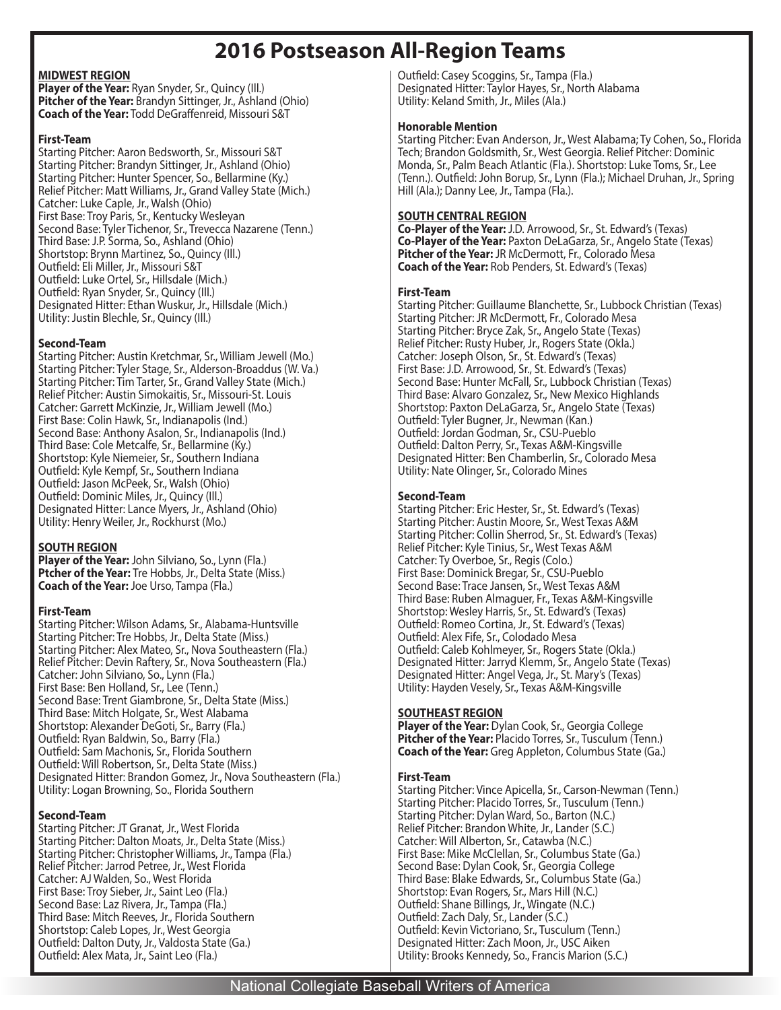## **2016 Postseason All-Region Teams**

#### **MIDWEST REGION**

**Player of the Year:** Ryan Snyder, Sr., Quincy (Ill.) **Pitcher of the Year:** Brandyn Sittinger, Jr., Ashland (Ohio) **Coach of the Year:** Todd DeGraffenreid, Missouri S&T

#### **First-Team**

Starting Pitcher: Aaron Bedsworth, Sr., Missouri S&T Starting Pitcher: Brandyn Sittinger, Jr., Ashland (Ohio) Starting Pitcher: Hunter Spencer, So., Bellarmine (Ky.) Relief Pitcher: Matt Williams, Jr., Grand Valley State (Mich.) Catcher: Luke Caple, Jr., Walsh (Ohio) First Base: Troy Paris, Sr., Kentucky Wesleyan Second Base: Tyler Tichenor, Sr., Trevecca Nazarene (Tenn.) Third Base: J.P. Sorma, So., Ashland (Ohio) Shortstop: Brynn Martinez, So., Quincy (Ill.) Outfield: Eli Miller, Jr., Missouri S&T Outfield: Luke Ortel, Sr., Hillsdale (Mich.) Outfield: Ryan Snyder, Sr., Quincy (Ill.) Designated Hitter: Ethan Wuskur, Jr., Hillsdale (Mich.) Utility: Justin Blechle, Sr., Quincy (Ill.)

#### **Second-Team**

Starting Pitcher: Austin Kretchmar, Sr., William Jewell (Mo.) Starting Pitcher: Tyler Stage, Sr., Alderson-Broaddus (W. Va.) Starting Pitcher: Tim Tarter, Sr., Grand Valley State (Mich.) Relief Pitcher: Austin Simokaitis, Sr., Missouri-St. Louis Catcher: Garrett McKinzie, Jr., William Jewell (Mo.) First Base: Colin Hawk, Sr., Indianapolis (Ind.) Second Base: Anthony Asalon, Sr., Indianapolis (Ind.) Third Base: Cole Metcalfe, Sr., Bellarmine (Ky.) Shortstop: Kyle Niemeier, Sr., Southern Indiana Outfield: Kyle Kempf, Sr., Southern Indiana Outfield: Jason McPeek, Sr., Walsh (Ohio) Outfield: Dominic Miles, Jr., Quincy (Ill.) Designated Hitter: Lance Myers, Jr., Ashland (Ohio) Utility: Henry Weiler, Jr., Rockhurst (Mo.)

#### **SOUTH REGION**

**Player of the Year:** John Silviano, So., Lynn (Fla.) **Ptcher of the Year:** Tre Hobbs, Jr., Delta State (Miss.) **Coach of the Year:** Joe Urso, Tampa (Fla.)

#### **First-Team**

Starting Pitcher: Wilson Adams, Sr., Alabama-Huntsville Starting Pitcher: Tre Hobbs, Jr., Delta State (Miss.) Starting Pitcher: Alex Mateo, Sr., Nova Southeastern (Fla.) Relief Pitcher: Devin Raftery, Sr., Nova Southeastern (Fla.) Catcher: John Silviano, So., Lynn (Fla.) First Base: Ben Holland, Sr., Lee (Tenn.) Second Base: Trent Giambrone, Sr., Delta State (Miss.) Third Base: Mitch Holgate, Sr., West Alabama Shortstop: Alexander DeGoti, Sr., Barry (Fla.) Outfield: Ryan Baldwin, So., Barry (Fla.) Outfield: Sam Machonis, Sr., Florida Southern Outfield: Will Robertson, Sr., Delta State (Miss.) Designated Hitter: Brandon Gomez, Jr., Nova Southeastern (Fla.) Utility: Logan Browning, So., Florida Southern

#### **Second-Team**

Starting Pitcher: JT Granat, Jr., West Florida Starting Pitcher: Dalton Moats, Jr., Delta State (Miss.) Starting Pitcher: Christopher Williams, Jr., Tampa (Fla.) Relief Pitcher: Jarrod Petree, Jr., West Florida Catcher: AJ Walden, So., West Florida First Base: Troy Sieber, Jr., Saint Leo (Fla.) Second Base: Laz Rivera, Jr., Tampa (Fla.) Third Base: Mitch Reeves, Jr., Florida Southern Shortstop: Caleb Lopes, Jr., West Georgia Outfield: Dalton Duty, Jr., Valdosta State (Ga.) Outfield: Alex Mata, Jr., Saint Leo (Fla.)

Outfield: Casey Scoggins, Sr., Tampa (Fla.) Designated Hitter: Taylor Hayes, Sr., North Alabama Utility: Keland Smith, Jr., Miles (Ala.)

#### **Honorable Mention**

Starting Pitcher: Evan Anderson, Jr., West Alabama; Ty Cohen, So., Florida Tech; Brandon Goldsmith, Sr., West Georgia. Relief Pitcher: Dominic Monda, Sr., Palm Beach Atlantic (Fla.). Shortstop: Luke Toms, Sr., Lee (Tenn.). Outfield: John Borup, Sr., Lynn (Fla.); Michael Druhan, Jr., Spring Hill (Ala.); Danny Lee, Jr., Tampa (Fla.).

#### **SOUTH CENTRAL REGION**

**Co-Player of the Year:** J.D. Arrowood, Sr., St. Edward's (Texas) **Co-Player of the Year:** Paxton DeLaGarza, Sr., Angelo State (Texas) **Pitcher of the Year:** JR McDermott, Fr., Colorado Mesa **Coach of the Year:** Rob Penders, St. Edward's (Texas)

#### **First-Team**

Starting Pitcher: Guillaume Blanchette, Sr., Lubbock Christian (Texas) Starting Pitcher: JR McDermott, Fr., Colorado Mesa Starting Pitcher: Bryce Zak, Sr., Angelo State (Texas) Relief Pitcher: Rusty Huber, Jr., Rogers State (Okla.) Catcher: Joseph Olson, Sr., St. Edward's (Texas) First Base: J.D. Arrowood, Sr., St. Edward's (Texas) Second Base: Hunter McFall, Sr., Lubbock Christian (Texas) Third Base: Alvaro Gonzalez, Sr., New Mexico Highlands Shortstop: Paxton DeLaGarza, Sr., Angelo State (Texas) Outfield: Tyler Bugner, Jr., Newman (Kan.) Outfield: Jordan Godman, Sr., CSU-Pueblo Outfield: Dalton Perry, Sr., Texas A&M-Kingsville Designated Hitter: Ben Chamberlin, Sr., Colorado Mesa Utility: Nate Olinger, Sr., Colorado Mines

#### **Second-Team**

Starting Pitcher: Eric Hester, Sr., St. Edward's (Texas) Starting Pitcher: Austin Moore, Sr., West Texas A&M Starting Pitcher: Collin Sherrod, Sr., St. Edward's (Texas) Relief Pitcher: Kyle Tinius, Sr., West Texas A&M Catcher: Ty Overboe, Sr., Regis (Colo.) First Base: Dominick Bregar, Sr., CSU-Pueblo Second Base: Trace Jansen, Sr., West Texas A&M Third Base: Ruben Almaguer, Fr., Texas A&M-Kingsville Shortstop: Wesley Harris, Sr., St. Edward's (Texas) Outfield: Romeo Cortina, Jr., St. Edward's (Texas) Outfield: Alex Fife, Sr., Colodado Mesa Outfield: Caleb Kohlmeyer, Sr., Rogers State (Okla.) Designated Hitter: Jarryd Klemm, Sr., Angelo State (Texas) Designated Hitter: Angel Vega, Jr., St. Mary's (Texas) Utility: Hayden Vesely, Sr., Texas A&M-Kingsville

#### **SOUTHEAST REGION**

**Player of the Year:** Dylan Cook, Sr., Georgia College **Pitcher of the Year:** Placido Torres, Sr., Tusculum (Tenn.) **Coach of the Year:** Greg Appleton, Columbus State (Ga.)

#### **First-Team**

Starting Pitcher: Vince Apicella, Sr., Carson-Newman (Tenn.) Starting Pitcher: Placido Torres, Sr., Tusculum (Tenn.) Starting Pitcher: Dylan Ward, So., Barton (N.C.) Relief Pitcher: Brandon White, Jr., Lander (S.C.) Catcher: Will Alberton, Sr., Catawba (N.C.) First Base: Mike McClellan, Sr., Columbus State (Ga.) Second Base: Dylan Cook, Sr., Georgia College Third Base: Blake Edwards, Sr., Columbus State (Ga.) Shortstop: Evan Rogers, Sr., Mars Hill (N.C.) Outfield: Shane Billings, Jr., Wingate (N.C.) Outfield: Zach Daly, Sr., Lander (S.C.) Outfield: Kevin Victoriano, Sr., Tusculum (Tenn.) Designated Hitter: Zach Moon, Jr., USC Aiken Utility: Brooks Kennedy, So., Francis Marion (S.C.)